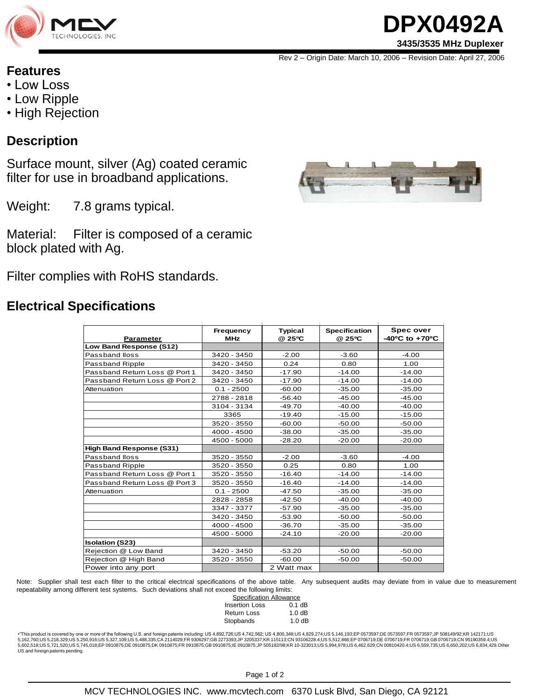

# **DPX0492A 3435/3535 MHz Duplexer**

Rev 2 – Origin Date: March 10, 2006 – Revision Date: April 27, 2006

#### **Features**

- Low Loss
- Low Ripple
- High Rejection

#### **Description**

Surface mount, silver (Ag) coated ceramic filter for use in broadband applications.

Weight: 7.8 grams typical.

Material: Filter is composed of a ceramic block plated with Ag.

Filter complies with RoHS standards.

### **Electrical Specifications**

| <b>Parameter</b>                | Frequency<br><b>MHz</b> | <b>Typical</b><br>@ 25°C | <b>Specification</b><br>@ 25°C | <b>Spec over</b><br>$-40^{\circ}$ C to $+70^{\circ}$ C |
|---------------------------------|-------------------------|--------------------------|--------------------------------|--------------------------------------------------------|
| Low Band Response (S12)         |                         |                          |                                |                                                        |
| Passband Iloss                  | 3420 - 3450             | $-2.00$                  | $-3.60$                        | $-4.00$                                                |
| Passband Ripple                 | 3420 - 3450             | 0.24                     | 0.80                           | 1.00                                                   |
| Passband Return Loss @ Port 1   | 3420 - 3450             | $-17.90$                 | $-14.00$                       | $-14.00$                                               |
| Passband Return Loss @ Port 2   | 3420 - 3450             | $-17.90$                 | $-14.00$                       | $-14.00$                                               |
| Attenuation                     | $0.1 - 2500$            | $-60.00$                 | $-35.00$                       | $-35.00$                                               |
|                                 | 2788 - 2818             | $-56.40$                 | $-45.00$                       | $-45.00$                                               |
|                                 | 3104 - 3134             | $-49.70$                 | $-40.00$                       | $-40.00$                                               |
|                                 | 3365                    | $-19.40$                 | $-15.00$                       | $-15.00$                                               |
|                                 | 3520 - 3550             | $-60.00$                 | $-50.00$                       | $-50.00$                                               |
|                                 | 4000 - 4500             | $-38.00$                 | $-35.00$                       | $-35.00$                                               |
|                                 | 4500 - 5000             | $-28.20$                 | $-20.00$                       | $-20.00$                                               |
| <b>High Band Response (S31)</b> |                         |                          |                                |                                                        |
| Passband Iloss                  | 3520 - 3550             | $-2.00$                  | $-3.60$                        | $-4.00$                                                |
| Passband Ripple                 | 3520 - 3550             | 0.25                     | 0.80                           | 1.00                                                   |
| Passband Return Loss @ Port 1   | 3520 - 3550             | $-16.40$                 | $-14.00$                       | $-14.00$                                               |
| Passband Return Loss @ Port 3   | 3520 - 3550             | $-16.40$                 | $-14.00$                       | $-14.00$                                               |
| Attenuation                     | $0.1 - 2500$            | $-47.50$                 | $-35.00$                       | $-35.00$                                               |
|                                 | 2828 - 2858             | $-42.50$                 | $-40.00$                       | $-40.00$                                               |
|                                 | 3347 - 3377             | $-57.90$                 | $-35.00$                       | $-35.00$                                               |
|                                 | 3420 - 3450             | $-53.90$                 | $-50.00$                       | $-50.00$                                               |
|                                 | 4000 - 4500             | $-36.70$                 | $-35.00$                       | $-35.00$                                               |
|                                 | 4500 - 5000             | $-24.10$                 | $-20.00$                       | $-20.00$                                               |
| <b>Isolation (S23)</b>          |                         |                          |                                |                                                        |
| Rejection @ Low Band            | 3420 - 3450             | $-53.20$                 | $-50.00$                       | $-50.00$                                               |
| Rejection @ High Band           | 3520 - 3550             | $-60.00$                 | $-50.00$                       | $-50.00$                                               |
| Power into any port             |                         | 2 Watt max               |                                |                                                        |

Note: Supplier shall test each filter to the critical electrical specifications of the above table. Any subsequent audits may deviate from in value due to measurement repeatability among different test systems. Such deviations shall not exceed the following limits:

| Specification Allowance |          |  |  |  |
|-------------------------|----------|--|--|--|
| <b>Insertion Loss</b>   | $0.1$ dB |  |  |  |
| <b>Return Loss</b>      | 1.0 dB   |  |  |  |
| Stopbands               | 1.0 dB   |  |  |  |

+"This product is covered by one or more of the following U.S. and foreign patents including: US 4,692,726;US 4,742,562; US 4,800,348;US 4,829,274;US 5,146,193;EP 0573597;DE 0573597;FR 0573597;JP 508149/92;KR 142171;US<br>5,1 5,602,518;US 5,721,520;US 5,745,018;EP 0910875;DE 0910875;DK 0910875;FR 0910875;GB 0910875;IE 0910875;IP 505182/98;KR 10-323013;US 5,994,978;US 6,462,629;CN 00810420.4;US 6,559,735;US 6,650,202;US 6,834,429.Other<br>US and fo

Page 1 of 2



MCV TECHNOLOGIES INC. www.mcvtech.com 6370 Lusk Blvd, San Diego, CA 92121